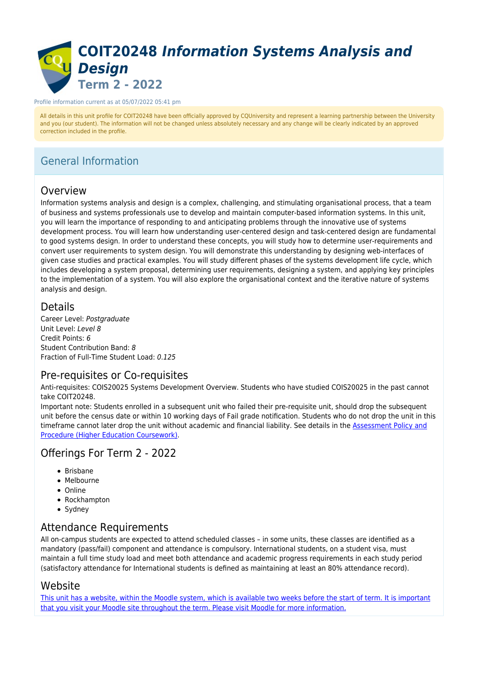# **COIT20248** *Information Systems Analysis and Design* **Term 2 - 2022**

#### Profile information current as at 05/07/2022 05:41 pm

All details in this unit profile for COIT20248 have been officially approved by CQUniversity and represent a learning partnership between the University and you (our student). The information will not be changed unless absolutely necessary and any change will be clearly indicated by an approved correction included in the profile.

## General Information

### Overview

Information systems analysis and design is a complex, challenging, and stimulating organisational process, that a team of business and systems professionals use to develop and maintain computer-based information systems. In this unit, you will learn the importance of responding to and anticipating problems through the innovative use of systems development process. You will learn how understanding user-centered design and task-centered design are fundamental to good systems design. In order to understand these concepts, you will study how to determine user-requirements and convert user requirements to system design. You will demonstrate this understanding by designing web-interfaces of given case studies and practical examples. You will study different phases of the systems development life cycle, which includes developing a system proposal, determining user requirements, designing a system, and applying key principles to the implementation of a system. You will also explore the organisational context and the iterative nature of systems analysis and design.

### **Details**

Career Level: Postgraduate Unit Level: Level 8 Credit Points: 6 Student Contribution Band: 8 Fraction of Full-Time Student Load: 0.125

### Pre-requisites or Co-requisites

Anti-requisites: COIS20025 Systems Development Overview. Students who have studied COIS20025 in the past cannot take COIT20248.

Important note: Students enrolled in a subsequent unit who failed their pre-requisite unit, should drop the subsequent unit before the census date or within 10 working days of Fail grade notification. Students who do not drop the unit in this timeframe cannot later drop the unit without academic and financial liability. See details in the [Assessment Policy and](https://www.cqu.edu.au/policy) [Procedure \(Higher Education Coursework\)](https://www.cqu.edu.au/policy).

### Offerings For Term 2 - 2022

- $\bullet$  Brisbane
- Melbourne
- Online
- Rockhampton
- Sydney

### Attendance Requirements

All on-campus students are expected to attend scheduled classes – in some units, these classes are identified as a mandatory (pass/fail) component and attendance is compulsory. International students, on a student visa, must maintain a full time study load and meet both attendance and academic progress requirements in each study period (satisfactory attendance for International students is defined as maintaining at least an 80% attendance record).

### Website

[This unit has a website, within the Moodle system, which is available two weeks before the start of term. It is important](https://moodle.cqu.edu.au) [that you visit your Moodle site throughout the term. Please visit Moodle for more information.](https://moodle.cqu.edu.au)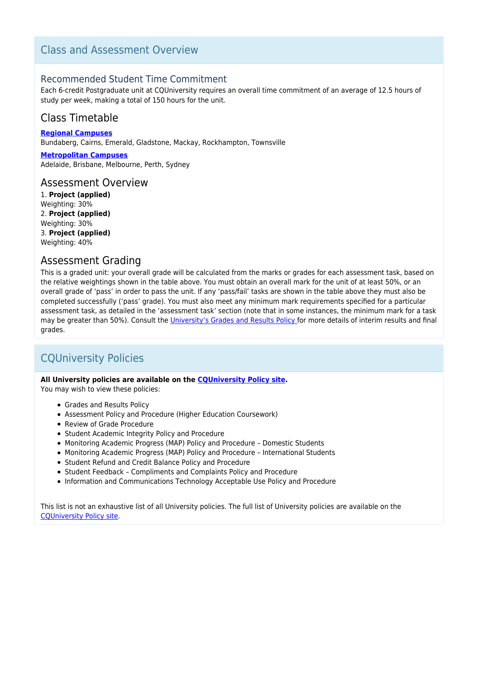## Class and Assessment Overview

### Recommended Student Time Commitment

Each 6-credit Postgraduate unit at CQUniversity requires an overall time commitment of an average of 12.5 hours of study per week, making a total of 150 hours for the unit.

## Class Timetable

**[Regional Campuses](https://handbook.cqu.edu.au/facet/timetables)** Bundaberg, Cairns, Emerald, Gladstone, Mackay, Rockhampton, Townsville

**[Metropolitan Campuses](https://handbook.cqu.edu.au/facet/timetables)** Adelaide, Brisbane, Melbourne, Perth, Sydney

### Assessment Overview

1. **Project (applied)** Weighting: 30% 2. **Project (applied)** Weighting: 30% 3. **Project (applied)** Weighting: 40%

### Assessment Grading

This is a graded unit: your overall grade will be calculated from the marks or grades for each assessment task, based on the relative weightings shown in the table above. You must obtain an overall mark for the unit of at least 50%, or an overall grade of 'pass' in order to pass the unit. If any 'pass/fail' tasks are shown in the table above they must also be completed successfully ('pass' grade). You must also meet any minimum mark requirements specified for a particular assessment task, as detailed in the 'assessment task' section (note that in some instances, the minimum mark for a task may be greater than 50%). Consult the *University's Grades and Results Policy for more details of interim results and final* grades.

## CQUniversity Policies

#### **All University policies are available on the [CQUniversity Policy site.](https://policy.cqu.edu.au/)**

You may wish to view these policies:

- Grades and Results Policy
- Assessment Policy and Procedure (Higher Education Coursework)
- Review of Grade Procedure
- Student Academic Integrity Policy and Procedure
- Monitoring Academic Progress (MAP) Policy and Procedure Domestic Students
- Monitoring Academic Progress (MAP) Policy and Procedure International Students
- Student Refund and Credit Balance Policy and Procedure
- Student Feedback Compliments and Complaints Policy and Procedure
- Information and Communications Technology Acceptable Use Policy and Procedure

This list is not an exhaustive list of all University policies. The full list of University policies are available on the [CQUniversity Policy site.](https://policy.cqu.edu.au/)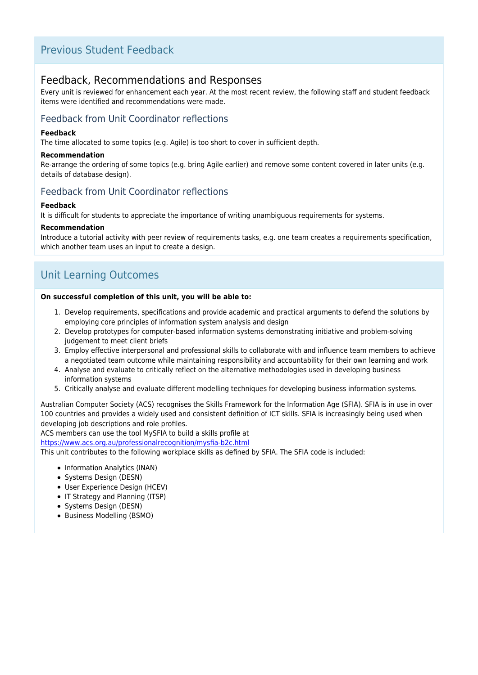### Previous Student Feedback

### Feedback, Recommendations and Responses

Every unit is reviewed for enhancement each year. At the most recent review, the following staff and student feedback items were identified and recommendations were made.

### Feedback from Unit Coordinator reflections

#### **Feedback**

The time allocated to some topics (e.g. Agile) is too short to cover in sufficient depth.

#### **Recommendation**

Re-arrange the ordering of some topics (e.g. bring Agile earlier) and remove some content covered in later units (e.g. details of database design).

### Feedback from Unit Coordinator reflections

#### **Feedback**

It is difficult for students to appreciate the importance of writing unambiguous requirements for systems.

#### **Recommendation**

Introduce a tutorial activity with peer review of requirements tasks, e.g. one team creates a requirements specification, which another team uses an input to create a design.

## Unit Learning Outcomes

#### **On successful completion of this unit, you will be able to:**

- 1. Develop requirements, specifications and provide academic and practical arguments to defend the solutions by employing core principles of information system analysis and design
- 2. Develop prototypes for computer-based information systems demonstrating initiative and problem-solving judgement to meet client briefs
- 3. Employ effective interpersonal and professional skills to collaborate with and influence team members to achieve a negotiated team outcome while maintaining responsibility and accountability for their own learning and work
- 4. Analyse and evaluate to critically reflect on the alternative methodologies used in developing business information systems
- 5. Critically analyse and evaluate different modelling techniques for developing business information systems.

Australian Computer Society (ACS) recognises the Skills Framework for the Information Age (SFIA). SFIA is in use in over 100 countries and provides a widely used and consistent definition of ICT skills. SFIA is increasingly being used when developing job descriptions and role profiles.

ACS members can use the tool MySFIA to build a skills profile at

<https://www.acs.org.au/professionalrecognition/mysfia-b2c.html>

This unit contributes to the following workplace skills as defined by SFIA. The SFIA code is included:

- Information Analytics (INAN)
- Systems Design (DESN)
- User Experience Design (HCEV)
- IT Strategy and Planning (ITSP)
- Systems Design (DESN)
- Business Modelling (BSMO)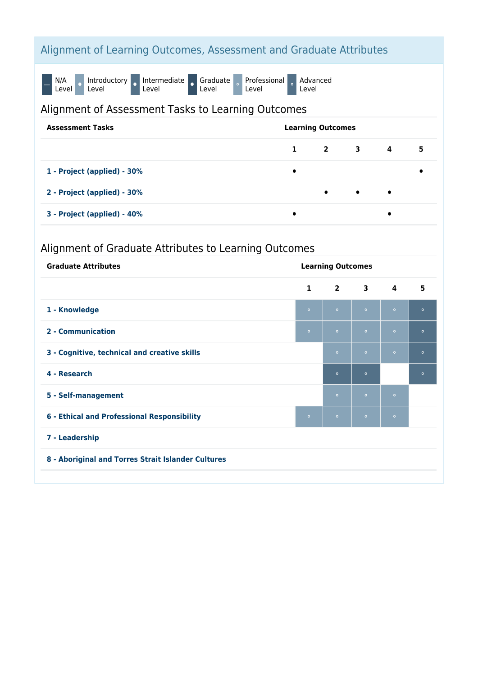## Alignment of Learning Outcomes, Assessment and Graduate Attributes

N/A<br>Level O Introductory o Intermediate o Graduate<br>Level Professional Level Advanced Level

## Alignment of Assessment Tasks to Learning Outcomes

| <b>Assessment Tasks</b>     | <b>Learning Outcomes</b> |           |           |                         |   |
|-----------------------------|--------------------------|-----------|-----------|-------------------------|---|
|                             | $\mathbf{1}$             | 2 3       |           | $\overline{\mathbf{4}}$ | 5 |
| 1 - Project (applied) - 30% |                          |           |           |                         |   |
| 2 - Project (applied) - 30% |                          | $\bullet$ | $\bullet$ | $\bullet$               |   |
| 3 - Project (applied) - 40% |                          |           |           | $\bullet$               |   |

## Alignment of Graduate Attributes to Learning Outcomes

| <b>Graduate Attributes</b>                         | <b>Learning Outcomes</b> |            |              |                         |         |
|----------------------------------------------------|--------------------------|------------|--------------|-------------------------|---------|
|                                                    | $\mathbf{1}$             | $2^{\sim}$ | $\mathbf{3}$ | $\overline{\mathbf{4}}$ | 5       |
| 1 - Knowledge                                      | $\circ$                  | $\circ$    | $\circ$      | $\circ$                 | $\circ$ |
| 2 - Communication                                  | $\bullet$                | $\circ$    | $\circ$      | $\circ$                 | $\circ$ |
| 3 - Cognitive, technical and creative skills       |                          | $\circ$    | $\circ$      | $\circ$                 | $\circ$ |
| 4 - Research                                       |                          | $\circ$    | $\circ$      |                         | $\circ$ |
| 5 - Self-management                                |                          | $\bullet$  | $\circ$      | $\bullet$               |         |
| 6 - Ethical and Professional Responsibility        | $\circ$                  | $\circ$    | $\circ$      | $\circ$                 |         |
| 7 - Leadership                                     |                          |            |              |                         |         |
| 8 - Aboriginal and Torres Strait Islander Cultures |                          |            |              |                         |         |
|                                                    |                          |            |              |                         |         |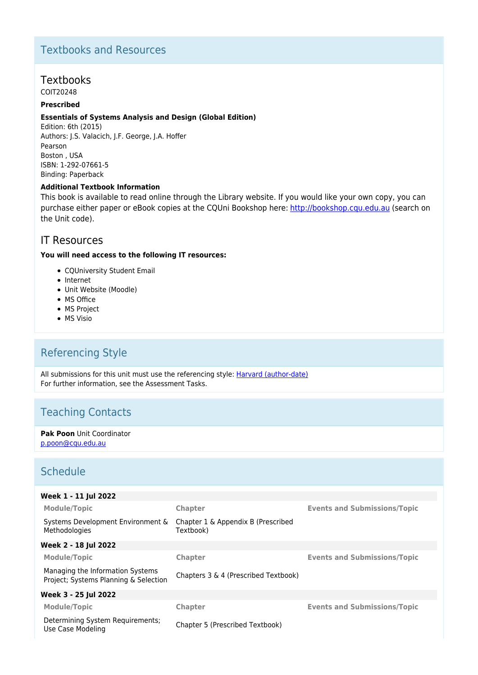## Textbooks and Resources

### **Textbooks**

COIT20248

### **Prescribed**

#### **Essentials of Systems Analysis and Design (Global Edition)**

Edition: 6th (2015) Authors: J.S. Valacich, J.F. George, J.A. Hoffer Pearson Boston , USA ISBN: 1-292-07661-5 Binding: Paperback

#### **Additional Textbook Information**

This book is available to read online through the Library website. If you would like your own copy, you can purchase either paper or eBook copies at the CQUni Bookshop here: [http://bookshop.cqu.edu.au](http://bookshop.cqu.edu.au/) (search on the Unit code).

### IT Resources

#### **You will need access to the following IT resources:**

- CQUniversity Student Email
- Internet
- Unit Website (Moodle)
- MS Office
- MS Project
- MS Visio

## Referencing Style

All submissions for this unit must use the referencing style: **[Harvard \(author-date\)](https://delivery-cqucontenthub.stylelabs.cloud/api/public/content/harvard-referencing-style.pdf?v=306efe7e)** For further information, see the Assessment Tasks.

### Teaching Contacts

**Pak Poon** Unit Coordinator [p.poon@cqu.edu.au](mailto:p.poon@cqu.edu.au)

### **Schedule**

| Week 1 - 11 Jul 2022                                                      |                                                 |                                     |
|---------------------------------------------------------------------------|-------------------------------------------------|-------------------------------------|
| <b>Module/Topic</b>                                                       | <b>Chapter</b>                                  | <b>Events and Submissions/Topic</b> |
| Systems Development Environment &<br>Methodologies                        | Chapter 1 & Appendix B (Prescribed<br>Textbook) |                                     |
| Week 2 - 18 Jul 2022                                                      |                                                 |                                     |
| <b>Module/Topic</b>                                                       | <b>Chapter</b>                                  | <b>Events and Submissions/Topic</b> |
| Managing the Information Systems<br>Project; Systems Planning & Selection | Chapters 3 & 4 (Prescribed Textbook)            |                                     |
| Week 3 - 25 Jul 2022                                                      |                                                 |                                     |
| <b>Module/Topic</b>                                                       | Chapter                                         | <b>Events and Submissions/Topic</b> |
| Determining System Requirements;<br>Use Case Modeling                     | Chapter 5 (Prescribed Textbook)                 |                                     |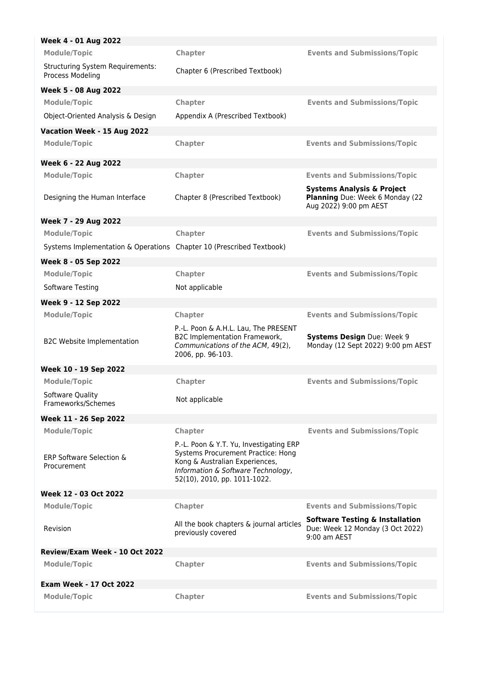| Week 4 - 01 Aug 2022                                                 |                                                                                                                                                                                       |                                                                                                    |
|----------------------------------------------------------------------|---------------------------------------------------------------------------------------------------------------------------------------------------------------------------------------|----------------------------------------------------------------------------------------------------|
| <b>Module/Topic</b>                                                  | Chapter                                                                                                                                                                               | <b>Events and Submissions/Topic</b>                                                                |
| <b>Structuring System Requirements:</b><br>Process Modeling          | Chapter 6 (Prescribed Textbook)                                                                                                                                                       |                                                                                                    |
| Week 5 - 08 Aug 2022                                                 |                                                                                                                                                                                       |                                                                                                    |
| <b>Module/Topic</b>                                                  | Chapter                                                                                                                                                                               | <b>Events and Submissions/Topic</b>                                                                |
| Object-Oriented Analysis & Design                                    | Appendix A (Prescribed Textbook)                                                                                                                                                      |                                                                                                    |
| Vacation Week - 15 Aug 2022                                          |                                                                                                                                                                                       |                                                                                                    |
| <b>Module/Topic</b>                                                  | Chapter                                                                                                                                                                               | <b>Events and Submissions/Topic</b>                                                                |
| Week 6 - 22 Aug 2022                                                 |                                                                                                                                                                                       |                                                                                                    |
| <b>Module/Topic</b>                                                  | Chapter                                                                                                                                                                               | <b>Events and Submissions/Topic</b>                                                                |
| Designing the Human Interface                                        | Chapter 8 (Prescribed Textbook)                                                                                                                                                       | <b>Systems Analysis &amp; Project</b><br>Planning Due: Week 6 Monday (22<br>Aug 2022) 9:00 pm AEST |
| Week 7 - 29 Aug 2022                                                 |                                                                                                                                                                                       |                                                                                                    |
| <b>Module/Topic</b>                                                  | Chapter                                                                                                                                                                               | <b>Events and Submissions/Topic</b>                                                                |
| Systems Implementation & Operations Chapter 10 (Prescribed Textbook) |                                                                                                                                                                                       |                                                                                                    |
| Week 8 - 05 Sep 2022                                                 |                                                                                                                                                                                       |                                                                                                    |
| <b>Module/Topic</b>                                                  | Chapter                                                                                                                                                                               | <b>Events and Submissions/Topic</b>                                                                |
| Software Testing                                                     | Not applicable                                                                                                                                                                        |                                                                                                    |
| Week 9 - 12 Sep 2022                                                 |                                                                                                                                                                                       |                                                                                                    |
| <b>Module/Topic</b>                                                  | Chapter                                                                                                                                                                               | <b>Events and Submissions/Topic</b>                                                                |
| <b>B2C Website Implementation</b>                                    | P.-L. Poon & A.H.L. Lau, The PRESENT<br><b>B2C Implementation Framework,</b><br>Communications of the ACM, 49(2),<br>2006, pp. 96-103.                                                | <b>Systems Design Due: Week 9</b><br>Monday (12 Sept 2022) 9:00 pm AEST                            |
| Week 10 - 19 Sep 2022                                                |                                                                                                                                                                                       |                                                                                                    |
| <b>Module/Topic</b>                                                  | Chapter                                                                                                                                                                               | <b>Events and Submissions/Topic</b>                                                                |
| Software Ouality<br>Frameworks/Schemes                               | Not applicable                                                                                                                                                                        |                                                                                                    |
| Week 11 - 26 Sep 2022                                                |                                                                                                                                                                                       |                                                                                                    |
| <b>Module/Topic</b>                                                  | Chapter                                                                                                                                                                               | <b>Events and Submissions/Topic</b>                                                                |
| <b>ERP Software Selection &amp;</b><br>Procurement                   | P.-L. Poon & Y.T. Yu, Investigating ERP<br>Systems Procurement Practice: Hong<br>Kong & Australian Experiences,<br>Information & Software Technology,<br>52(10), 2010, pp. 1011-1022. |                                                                                                    |
| Week 12 - 03 Oct 2022                                                |                                                                                                                                                                                       |                                                                                                    |
| <b>Module/Topic</b>                                                  | Chapter                                                                                                                                                                               | <b>Events and Submissions/Topic</b>                                                                |
| Revision                                                             | All the book chapters & journal articles<br>previously covered                                                                                                                        | <b>Software Testing &amp; Installation</b><br>Due: Week 12 Monday (3 Oct 2022)<br>$9:00$ am AEST   |
| Review/Exam Week - 10 Oct 2022                                       |                                                                                                                                                                                       |                                                                                                    |
| <b>Module/Topic</b>                                                  | Chapter                                                                                                                                                                               | <b>Events and Submissions/Topic</b>                                                                |
| <b>Exam Week - 17 Oct 2022</b>                                       |                                                                                                                                                                                       |                                                                                                    |
| <b>Module/Topic</b>                                                  | Chapter                                                                                                                                                                               | <b>Events and Submissions/Topic</b>                                                                |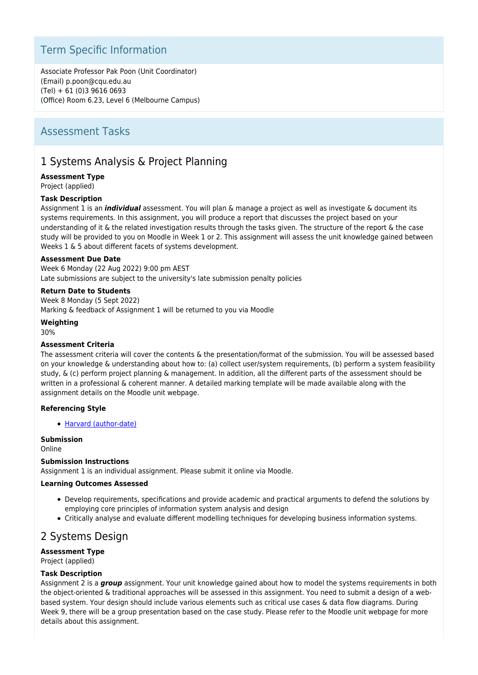## Term Specific Information

Associate Professor Pak Poon (Unit Coordinator) (Email) p.poon@cqu.edu.au (Tel) + 61 (0)3 9616 0693 (Office) Room 6.23, Level 6 (Melbourne Campus)

### Assessment Tasks

## 1 Systems Analysis & Project Planning

#### **Assessment Type**

Project (applied)

#### **Task Description**

Assignment 1 is an *individual* assessment. You will plan & manage a project as well as investigate & document its systems requirements. In this assignment, you will produce a report that discusses the project based on your understanding of it & the related investigation results through the tasks given. The structure of the report & the case study will be provided to you on Moodle in Week 1 or 2. This assignment will assess the unit knowledge gained between Weeks 1 & 5 about different facets of systems development.

#### **Assessment Due Date**

Week 6 Monday (22 Aug 2022) 9:00 pm AEST Late submissions are subject to the university's late submission penalty policies

#### **Return Date to Students**

Week 8 Monday (5 Sept 2022) Marking & feedback of Assignment 1 will be returned to you via Moodle

#### **Weighting**

30%

#### **Assessment Criteria**

The assessment criteria will cover the contents & the presentation/format of the submission. You will be assessed based on your knowledge & understanding about how to: (a) collect user/system requirements, (b) perform a system feasibility study, & (c) perform project planning & management. In addition, all the different parts of the assessment should be written in a professional & coherent manner. A detailed marking template will be made available along with the assignment details on the Moodle unit webpage.

#### **Referencing Style**

[Harvard \(author-date\)](https://delivery-cqucontenthub.stylelabs.cloud/api/public/content/harvard-referencing-style.pdf?v=306efe7e)

#### **Submission**

Online

#### **Submission Instructions**

Assignment 1 is an individual assignment. Please submit it online via Moodle.

#### **Learning Outcomes Assessed**

- Develop requirements, specifications and provide academic and practical arguments to defend the solutions by employing core principles of information system analysis and design
- Critically analyse and evaluate different modelling techniques for developing business information systems.

### 2 Systems Design

### **Assessment Type**

Project (applied)

#### **Task Description**

Assignment 2 is a *group* assignment. Your unit knowledge gained about how to model the systems requirements in both the object-oriented & traditional approaches will be assessed in this assignment. You need to submit a design of a webbased system. Your design should include various elements such as critical use cases & data flow diagrams. During Week 9, there will be a group presentation based on the case study. Please refer to the Moodle unit webpage for more details about this assignment.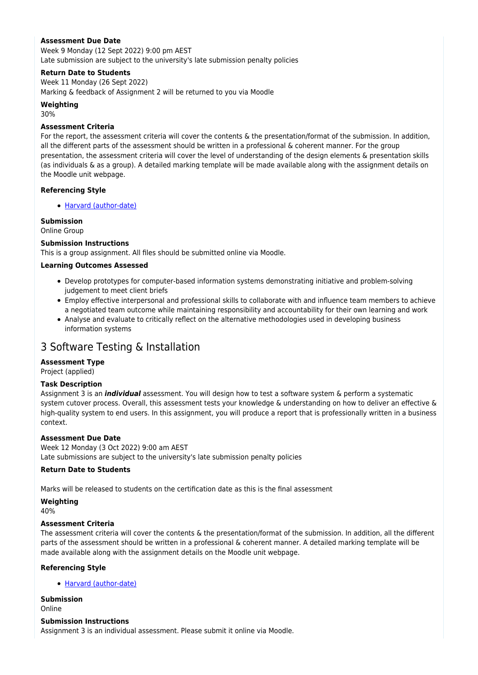#### **Assessment Due Date**

Week 9 Monday (12 Sept 2022) 9:00 pm AEST Late submission are subject to the university's late submission penalty policies

#### **Return Date to Students**

Week 11 Monday (26 Sept 2022) Marking & feedback of Assignment 2 will be returned to you via Moodle

#### **Weighting**

30%

#### **Assessment Criteria**

For the report, the assessment criteria will cover the contents & the presentation/format of the submission. In addition, all the different parts of the assessment should be written in a professional & coherent manner. For the group presentation, the assessment criteria will cover the level of understanding of the design elements & presentation skills (as individuals & as a group). A detailed marking template will be made available along with the assignment details on the Moodle unit webpage.

#### **Referencing Style**

• [Harvard \(author-date\)](https://delivery-cqucontenthub.stylelabs.cloud/api/public/content/harvard-referencing-style.pdf?v=306efe7e)

#### **Submission**

Online Group

#### **Submission Instructions**

This is a group assignment. All files should be submitted online via Moodle.

#### **Learning Outcomes Assessed**

- Develop prototypes for computer-based information systems demonstrating initiative and problem-solving judgement to meet client briefs
- Employ effective interpersonal and professional skills to collaborate with and influence team members to achieve a negotiated team outcome while maintaining responsibility and accountability for their own learning and work
- Analyse and evaluate to critically reflect on the alternative methodologies used in developing business information systems

### 3 Software Testing & Installation

#### **Assessment Type**

Project (applied)

#### **Task Description**

Assignment 3 is an *individual* assessment. You will design how to test a software system & perform a systematic system cutover process. Overall, this assessment tests your knowledge & understanding on how to deliver an effective & high-quality system to end users. In this assignment, you will produce a report that is professionally written in a business context.

#### **Assessment Due Date**

Week 12 Monday (3 Oct 2022) 9:00 am AEST Late submissions are subject to the university's late submission penalty policies

#### **Return Date to Students**

Marks will be released to students on the certification date as this is the final assessment

#### **Weighting**

40%

#### **Assessment Criteria**

The assessment criteria will cover the contents & the presentation/format of the submission. In addition, all the different parts of the assessment should be written in a professional & coherent manner. A detailed marking template will be made available along with the assignment details on the Moodle unit webpage.

#### **Referencing Style**

[Harvard \(author-date\)](https://delivery-cqucontenthub.stylelabs.cloud/api/public/content/harvard-referencing-style.pdf?v=306efe7e)

**Submission**

Online

#### **Submission Instructions**

Assignment 3 is an individual assessment. Please submit it online via Moodle.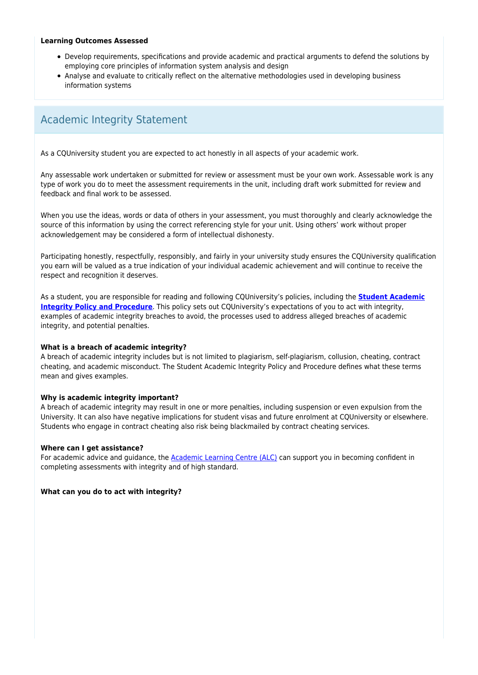#### **Learning Outcomes Assessed**

- Develop requirements, specifications and provide academic and practical arguments to defend the solutions by employing core principles of information system analysis and design
- Analyse and evaluate to critically reflect on the alternative methodologies used in developing business information systems

## Academic Integrity Statement

As a CQUniversity student you are expected to act honestly in all aspects of your academic work.

Any assessable work undertaken or submitted for review or assessment must be your own work. Assessable work is any type of work you do to meet the assessment requirements in the unit, including draft work submitted for review and feedback and final work to be assessed.

When you use the ideas, words or data of others in your assessment, you must thoroughly and clearly acknowledge the source of this information by using the correct referencing style for your unit. Using others' work without proper acknowledgement may be considered a form of intellectual dishonesty.

Participating honestly, respectfully, responsibly, and fairly in your university study ensures the CQUniversity qualification you earn will be valued as a true indication of your individual academic achievement and will continue to receive the respect and recognition it deserves.

As a student, you are responsible for reading and following CQUniversity's policies, including the **[Student Academic](https://www.cqu.edu.au/policy/sharepoint-document-download?file_uri={BE8380F3-F86D-4C55-AC0D-84A81EAFD6A2}/Student%20Academic%20Integrity%20Policy%20and%20Procedure%20(formerly%20known%20as%20the%20Academic%20Misconduct%20Procedure).pdf) [Integrity Policy and Procedure](https://www.cqu.edu.au/policy/sharepoint-document-download?file_uri={BE8380F3-F86D-4C55-AC0D-84A81EAFD6A2}/Student%20Academic%20Integrity%20Policy%20and%20Procedure%20(formerly%20known%20as%20the%20Academic%20Misconduct%20Procedure).pdf)**. This policy sets out CQUniversity's expectations of you to act with integrity, examples of academic integrity breaches to avoid, the processes used to address alleged breaches of academic integrity, and potential penalties.

#### **What is a breach of academic integrity?**

A breach of academic integrity includes but is not limited to plagiarism, self-plagiarism, collusion, cheating, contract cheating, and academic misconduct. The Student Academic Integrity Policy and Procedure defines what these terms mean and gives examples.

#### **Why is academic integrity important?**

A breach of academic integrity may result in one or more penalties, including suspension or even expulsion from the University. It can also have negative implications for student visas and future enrolment at CQUniversity or elsewhere. Students who engage in contract cheating also risk being blackmailed by contract cheating services.

#### **Where can I get assistance?**

For academic advice and guidance, the [Academic Learning Centre \(ALC\)](https://www.cqu.edu.au/student-life/academic-learning-centre) can support you in becoming confident in completing assessments with integrity and of high standard.

#### **What can you do to act with integrity?**